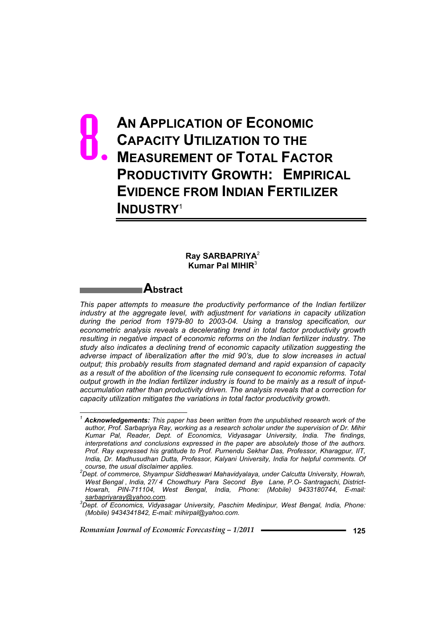# **AN APPLICATION OF ECONOMIC CAPACITY UTILIZATION TO THE MEASUREMENT OF TOTAL FACTOR PRODUCTIVITY GROWTH: EMPIRICAL EVIDENCE FROM INDIAN FERTILIZER INDUSTRY**<sup>1</sup> 8.

## **Ray SARBAPRIYA**<sup>2</sup> **Kumar Pal MIHIR**<sup>3</sup>

# **Abstract**

 $\overline{a}$ 

*This paper attempts to measure the productivity performance of the Indian fertilizer industry at the aggregate level, with adjustment for variations in capacity utilization during the period from 1979-80 to 2003-04. Using a translog specification, our econometric analysis reveals a decelerating trend in total factor productivity growth resulting in negative impact of economic reforms on the Indian fertilizer industry. The study also indicates a declining trend of economic capacity utilization suggesting the adverse impact of liberalization after the mid 90's, due to slow increases in actual output; this probably results from stagnated demand and rapid expansion of capacity as a result of the abolition of the licensing rule consequent to economic reforms. Total output growth in the Indian fertilizer industry is found to be mainly as a result of inputaccumulation rather than productivity driven. The analysis reveals that a correction for capacity utilization mitigates the variations in total factor productivity growth.*

*<sup>1</sup> Acknowledgements: This paper has been written from the unpublished research work of the author, Prof. Sarbapriya Ray, working as a research scholar under the supervision of Dr. Mihir Kumar Pal, Reader, Dept. of Economics, Vidyasagar University, India. The findings, interpretations and conclusions expressed in the paper are absolutely those of the authors. Prof. Ray expressed his gratitude to Prof. Purnendu Sekhar Das, Professor, Kharagpur, IIT, India, Dr. Madhusudhan Dutta, Professor, Kalyani University, India for helpful comments. Of* 

*course, the usual disclaimer applies. 2 Dept. of commerce, Shyampur Siddheswari Mahavidyalaya, under Calcutta University, Howrah, West Bengal , India, 27/ 4 Chowdhury Para Second Bye Lane, P.O- Santragachi, District-Howrah, PIN-711104, West Bengal, India, Phone: (Mobile) 9433180744, E-mail:* 

*sarbapriyaray@yahoo.com. <sup>3</sup> Dept. of Economics, Vidyasagar University, Paschim Medinipur, West Bengal, India, Phone: (Mobile) 9434341842, E-mail: mihirpal@yahoo.com.*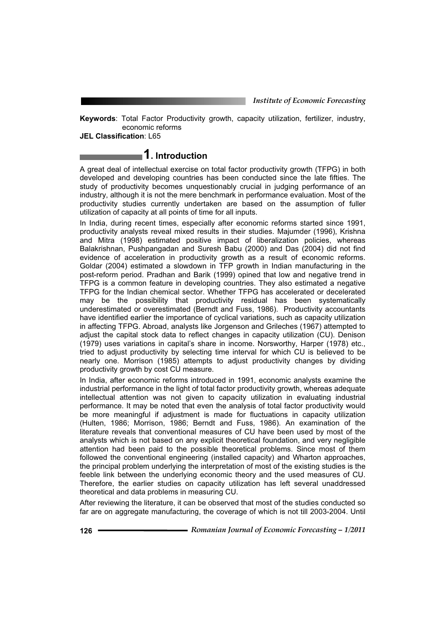**Keywords**: Total Factor Productivity growth, capacity utilization, fertilizer, industry, economic reforms

**JEL Classification**: L65

# **1. Introduction**

A great deal of intellectual exercise on total factor productivity growth (TFPG) in both developed and developing countries has been conducted since the late fifties. The study of productivity becomes unquestionably crucial in judging performance of an industry, although it is not the mere benchmark in performance evaluation. Most of the productivity studies currently undertaken are based on the assumption of fuller utilization of capacity at all points of time for all inputs.

In India, during recent times, especially after economic reforms started since 1991, productivity analysts reveal mixed results in their studies. Majumder (1996), Krishna and Mitra (1998) estimated positive impact of liberalization policies, whereas Balakrishnan, Pushpangadan and Suresh Babu (2000) and Das (2004) did not find evidence of acceleration in productivity growth as a result of economic reforms. Goldar (2004) estimated a slowdown in TFP growth in Indian manufacturing in the post-reform period. Pradhan and Barik (1999) opined that low and negative trend in TFPG is a common feature in developing countries. They also estimated a negative TFPG for the Indian chemical sector. Whether TFPG has accelerated or decelerated may be the possibility that productivity residual has been systematically underestimated or overestimated (Berndt and Fuss, 1986). Productivity accountants have identified earlier the importance of cyclical variations, such as capacity utilization in affecting TFPG. Abroad, analysts like Jorgenson and Grileches (1967) attempted to adjust the capital stock data to reflect changes in capacity utilization (CU). Denison (1979) uses variations in capital's share in income. Norsworthy, Harper (1978) etc., tried to adjust productivity by selecting time interval for which CU is believed to be nearly one. Morrison (1985) attempts to adjust productivity changes by dividing productivity growth by cost CU measure.

In India, after economic reforms introduced in 1991, economic analysts examine the industrial performance in the light of total factor productivity growth, whereas adequate intellectual attention was not given to capacity utilization in evaluating industrial performance. It may be noted that even the analysis of total factor productivity would be more meaningful if adjustment is made for fluctuations in capacity utilization (Hulten, 1986; Morrison, 1986; Berndt and Fuss, 1986). An examination of the literature reveals that conventional measures of CU have been used by most of the analysts which is not based on any explicit theoretical foundation, and very negligible attention had been paid to the possible theoretical problems. Since most of them followed the conventional engineering (installed capacity) and Wharton approaches, the principal problem underlying the interpretation of most of the existing studies is the feeble link between the underlying economic theory and the used measures of CU. Therefore, the earlier studies on capacity utilization has left several unaddressed theoretical and data problems in measuring CU.

After reviewing the literature, it can be observed that most of the studies conducted so far are on aggregate manufacturing, the coverage of which is not till 2003-2004. Until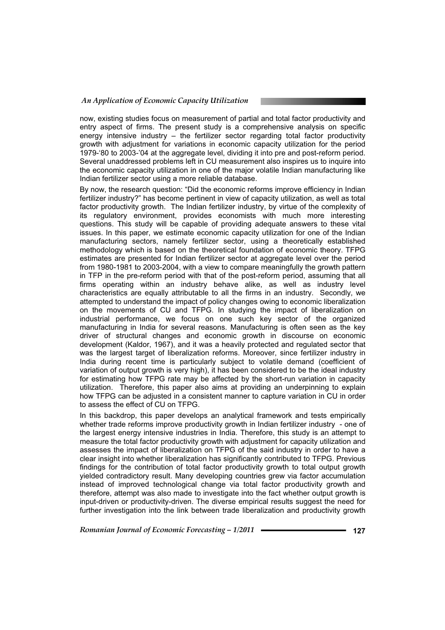# *An Application of Economic Capacity Utilization*

now, existing studies focus on measurement of partial and total factor productivity and entry aspect of firms. The present study is a comprehensive analysis on specific energy intensive industry  $-$  the fertilizer sector regarding total factor productivity growth with adjustment for variations in economic capacity utilization for the period 1979-'80 to 2003-'04 at the aggregate level, dividing it into pre and post-reform period. Several unaddressed problems left in CU measurement also inspires us to inquire into the economic capacity utilization in one of the major volatile Indian manufacturing like Indian fertilizer sector using a more reliable database.

By now, the research question: "Did the economic reforms improve efficiency in Indian fertilizer industry?" has become pertinent in view of capacity utilization, as well as total factor productivity growth. The Indian fertilizer industry, by virtue of the complexity of its regulatory environment, provides economists with much more interesting questions. This study will be capable of providing adequate answers to these vital issues. In this paper, we estimate economic capacity utilization for one of the Indian manufacturing sectors, namely fertilizer sector, using a theoretically established methodology which is based on the theoretical foundation of economic theory. TFPG estimates are presented for Indian fertilizer sector at aggregate level over the period from 1980-1981 to 2003-2004, with a view to compare meaningfully the growth pattern in TFP in the pre-reform period with that of the post-reform period, assuming that all firms operating within an industry behave alike, as well as industry level characteristics are equally attributable to all the firms in an industry. Secondly, we attempted to understand the impact of policy changes owing to economic liberalization on the movements of CU and TFPG. In studying the impact of liberalization on industrial performance, we focus on one such key sector of the organized manufacturing in India for several reasons. Manufacturing is often seen as the key driver of structural changes and economic growth in discourse on economic development (Kaldor, 1967), and it was a heavily protected and regulated sector that was the largest target of liberalization reforms. Moreover, since fertilizer industry in India during recent time is particularly subject to volatile demand (coefficient of variation of output growth is very high), it has been considered to be the ideal industry for estimating how TFPG rate may be affected by the short-run variation in capacity utilization. Therefore, this paper also aims at providing an underpinning to explain how TFPG can be adjusted in a consistent manner to capture variation in CU in order to assess the effect of CU on TFPG.

In this backdrop, this paper develops an analytical framework and tests empirically whether trade reforms improve productivity growth in Indian fertilizer industry - one of the largest energy intensive industries in India. Therefore, this study is an attempt to measure the total factor productivity growth with adjustment for capacity utilization and assesses the impact of liberalization on TFPG of the said industry in order to have a clear insight into whether liberalization has significantly contributed to TFPG. Previous findings for the contribution of total factor productivity growth to total output growth yielded contradictory result. Many developing countries grew via factor accumulation instead of improved technological change via total factor productivity growth and therefore, attempt was also made to investigate into the fact whether output growth is input-driven or productivity-driven. The diverse empirical results suggest the need for further investigation into the link between trade liberalization and productivity growth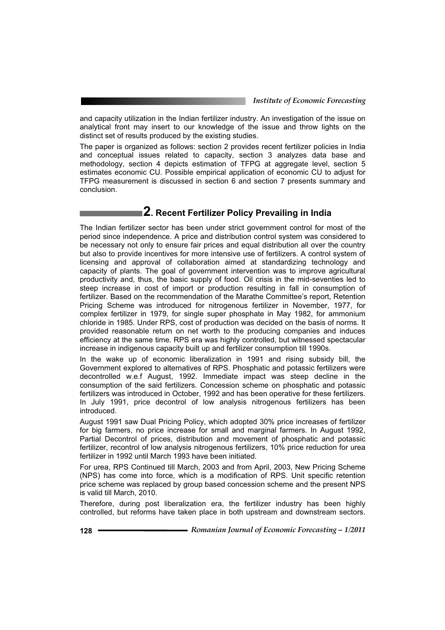and capacity utilization in the Indian fertilizer industry. An investigation of the issue on analytical front may insert to our knowledge of the issue and throw lights on the distinct set of results produced by the existing studies.

The paper is organized as follows: section 2 provides recent fertilizer policies in India and conceptual issues related to capacity, section 3 analyzes data base and methodology, section 4 depicts estimation of TFPG at aggregate level, section 5 estimates economic CU. Possible empirical application of economic CU to adjust for TFPG measurement is discussed in section 6 and section 7 presents summary and conclusion.

# **2. Recent Fertilizer Policy Prevailing in India**

The Indian fertilizer sector has been under strict government control for most of the period since independence. A price and distribution control system was considered to be necessary not only to ensure fair prices and equal distribution all over the country but also to provide incentives for more intensive use of fertilizers. A control system of licensing and approval of collaboration aimed at standardizing technology and capacity of plants. The goal of government intervention was to improve agricultural productivity and, thus, the basic supply of food. Oil crisis in the mid-seventies led to steep increase in cost of import or production resulting in fall in consumption of fertilizer. Based on the recommendation of the Marathe Committee's report, Retention Pricing Scheme was introduced for nitrogenous fertilizer in November, 1977, for complex fertilizer in 1979, for single super phosphate in May 1982, for ammonium chloride in 1985. Under RPS, cost of production was decided on the basis of norms. It provided reasonable return on net worth to the producing companies and induces efficiency at the same time. RPS era was highly controlled, but witnessed spectacular increase in indigenous capacity built up and fertilizer consumption till 1990s.

In the wake up of economic liberalization in 1991 and rising subsidy bill, the Government explored to alternatives of RPS. Phosphatic and potassic fertilizers were decontrolled w.e.f August, 1992. Immediate impact was steep decline in the consumption of the said fertilizers. Concession scheme on phosphatic and potassic fertilizers was introduced in October, 1992 and has been operative for these fertilizers. In July 1991, price decontrol of low analysis nitrogenous fertilizers has been introduced.

August 1991 saw Dual Pricing Policy, which adopted 30% price increases of fertilizer for big farmers, no price increase for small and marginal farmers. In August 1992, Partial Decontrol of prices, distribution and movement of phosphatic and potassic fertilizer, recontrol of low analysis nitrogenous fertilizers, 10% price reduction for urea fertilizer in 1992 until March 1993 have been initiated.

For urea, RPS Continued till March, 2003 and from April, 2003, New Pricing Scheme (NPS) has come into force, which is a modification of RPS. Unit specific retention price scheme was replaced by group based concession scheme and the present NPS is valid till March, 2010.

Therefore, during post liberalization era, the fertilizer industry has been highly controlled, but reforms have taken place in both upstream and downstream sectors.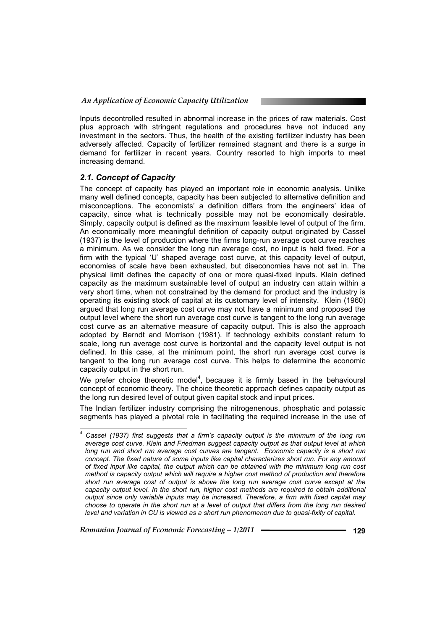Inputs decontrolled resulted in abnormal increase in the prices of raw materials. Cost plus approach with stringent regulations and procedures have not induced any investment in the sectors. Thus, the health of the existing fertilizer industry has been adversely affected. Capacity of fertilizer remained stagnant and there is a surge in demand for fertilizer in recent years. Country resorted to high imports to meet increasing demand.

## *2.1. Concept of Capacity*

 $\overline{a}$ 

The concept of capacity has played an important role in economic analysis. Unlike many well defined concepts, capacity has been subjected to alternative definition and misconceptions. The economists' a definition differs from the engineers' idea of capacity, since what is technically possible may not be economically desirable. Simply, capacity output is defined as the maximum feasible level of output of the firm. An economically more meaningful definition of capacity output originated by Cassel (1937) is the level of production where the firms long-run average cost curve reaches a minimum. As we consider the long run average cost, no input is held fixed. For a firm with the typical 'U' shaped average cost curve, at this capacity level of output, economies of scale have been exhausted, but diseconomies have not set in. The physical limit defines the capacity of one or more quasi-fixed inputs. Klein defined capacity as the maximum sustainable level of output an industry can attain within a very short time, when not constrained by the demand for product and the industry is operating its existing stock of capital at its customary level of intensity. Klein (1960) argued that long run average cost curve may not have a minimum and proposed the output level where the short run average cost curve is tangent to the long run average cost curve as an alternative measure of capacity output. This is also the approach adopted by Berndt and Morrison (1981). If technology exhibits constant return to scale, long run average cost curve is horizontal and the capacity level output is not defined. In this case, at the minimum point, the short run average cost curve is tangent to the long run average cost curve. This helps to determine the economic capacity output in the short run.

We prefer choice theoretic model<sup>4</sup>, because it is firmly based in the behavioural concept of economic theory. The choice theoretic approach defines capacity output as the long run desired level of output given capital stock and input prices.

The Indian fertilizer industry comprising the nitrogenenous, phosphatic and potassic segments has played a pivotal role in facilitating the required increase in the use of

<sup>&</sup>lt;sup>4</sup> Cassel (1937) first suggests that a firm's capacity output is the minimum of the long run *average cost curve. Klein and Friedman suggest capacity output as that output level at which long run and short run average cost curves are tangent. Economic capacity is a short run concept. The fixed nature of some inputs like capital characterizes short run. For any amount of fixed input like capital, the output which can be obtained with the minimum long run cost method is capacity output which will require a higher cost method of production and therefore short run average cost of output is above the long run average cost curve except at the capacity output level. In the short run, higher cost methods are required to obtain additional output since only variable inputs may be increased. Therefore, a firm with fixed capital may choose to operate in the short run at a level of output that differs from the long run desired level and variation in CU is viewed as a short run phenomenon due to quasi-fixity of capital.*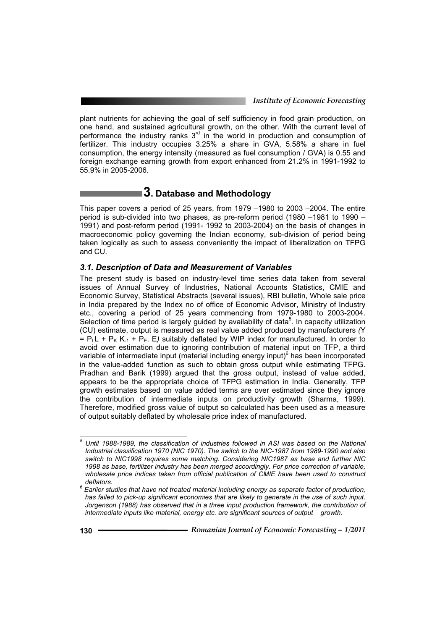plant nutrients for achieving the goal of self sufficiency in food grain production, on one hand, and sustained agricultural growth, on the other. With the current level of performance the industry ranks  $3<sup>rd</sup>$  in the world in production and consumption of fertilizer. This industry occupies 3.25% a share in GVA, 5.58% a share in fuel consumption, the energy intensity (measured as fuel consumption / GVA) is 0.55 and foreign exchange earning growth from export enhanced from 21.2% in 1991-1992 to 55.9% in 2005-2006.

# **3. Database and Methodology**

This paper covers a period of 25 years, from 1979 –1980 to 2003 –2004. The entire period is sub-divided into two phases, as pre-reform period (1980 –1981 to 1990 – 1991) and post-reform period (1991- 1992 to 2003-2004) on the basis of changes in macroeconomic policy governing the Indian economy, sub-division of period being taken logically as such to assess conveniently the impact of liberalization on TFPG and CU.

## *3.1. Description of Data and Measurement of Variables*

The present study is based on industry-level time series data taken from several issues of Annual Survey of Industries, National Accounts Statistics, CMIE and Economic Survey, Statistical Abstracts (several issues), RBI bulletin, Whole sale price in India prepared by the Index no of office of Economic Advisor, Ministry of Industry etc., covering a period of 25 years commencing from 1979-1980 to 2003-2004. Selection of time period is largely guided by availability of data<sup>5</sup>. In capacity utilization (CU) estimate, output is measured as real value added produced by manufacturers *(*Y  $=$  P<sub>L</sub>L + P<sub>K</sub> K<sub>-1</sub> + P<sub>E</sub>. E) suitably deflated by WIP index for manufactured. In order to avoid over estimation due to ignoring contribution of material input on TFP, a third variable of intermediate input (material including energy input) $^6$  has been incorporated in the value-added function as such to obtain gross output while estimating TFPG. Pradhan and Barik (1999) argued that the gross output, instead of value added, appears to be the appropriate choice of TFPG estimation in India. Generally, TFP growth estimates based on value added terms are over estimated since they ignore the contribution of intermediate inputs on productivity growth (Sharma, 1999). Therefore, modified gross value of output so calculated has been used as a measure of output suitably deflated by wholesale price index of manufactured.

 $\overline{a}$ 

*<sup>5</sup> Until 1988-1989, the classification of industries followed in ASI was based on the National Industrial classification 1970 (NIC 1970). The switch to the NIC-1987 from 1989-1990 and also switch to NIC1998 requires some matching. Considering NIC1987 as base and further NIC 1998 as base, fertilizer industry has been merged accordingly. For price correction of variable, wholesale price indices taken from official publication of CMIE have been used to construct* 

*deflators. <sup>6</sup> Earlier studies that have not treated material including energy as separate factor of production,*  has failed to pick-up significant economies that are likely to generate in the use of such input. *Jorgenson (1988) has observed that in a three input production framework, the contribution of intermediate inputs like material, energy etc. are significant sources of output growth.*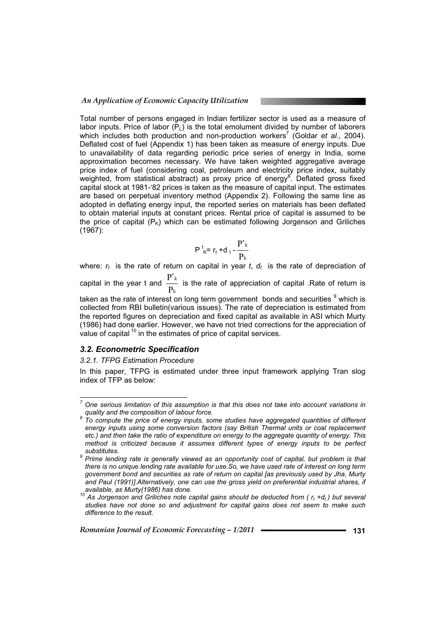Total number of persons engaged in Indian fertilizer sector is used as a measure of labor inputs. Price of labor  $(P_1)$  is the total emolument divided by number of laborers which includes both production and non-production workers<sup>7</sup> (Goldar *et al.*, 2004). Deflated cost of fuel (Appendix 1) has been taken as measure of energy inputs. Due to unavailability of data regarding periodic price series of energy in India, some approximation becomes necessary. We have taken weighted aggregative average price index of fuel (considering coal, petroleum and electricity price index, suitably weighted, from statistical abstract) as proxy price of energy  $8$ . Deflated gross fixed capital stock at 1981-'82 prices is taken as the measure of capital input. The estimates are based on perpetual inventory method (Appendix 2). Following the same line as adopted in deflating energy input, the reported series on materials has been deflated to obtain material inputs at constant prices. Rental price of capital is assumed to be the price of capital  $(P_K)$  which can be estimated following Jorgenson and Griliches (1967):

$$
\mathsf{P}^t_{\kappa} = \mathsf{r}_t + \mathsf{d}_t - \frac{\mathsf{P}^{\text{r}}_{\kappa}}{\mathsf{P}_{\kappa}}
$$

where:  $r_t$  is the rate of return on capital in year  $t$ ,  $d_t$  is the rate of depreciation of capital in the year t and  $\frac{P^2k}{P}$ k P  $\overline{\text{P}}$ • is the rate of appreciation of capital .Rate of return is taken as the rate of interest on long term government bonds and securities  $^9$  which is collected from RBI bulletin(various issues). The rate of depreciation is estimated from the reported figures on depreciation and fixed capital as available in ASI which Murty (1986) had done earlier. However, we have not tried corrections for the appreciation of value of capital  $10$  in the estimates of price of capital services.

### *3.2. Econometric Specification*

#### *3.2.1. TFPG Estimation Procedure*

 $\overline{a}$ 

In this paper, TFPG is estimated under three input framework applying Tran slog index of TFP as below:

*<sup>7</sup> One serious limitation of this assumption is that this does not take into account variations in quality and the composition of labour force. <sup>8</sup>*

*To compute the price of energy inputs, some studies have aggregated quantities of different energy inputs using some conversion factors (say British Thermal units or coal replacement etc.) and then take the ratio of expenditure on energy to the aggregate quantity of energy. This method is criticized because it assumes different types of energy inputs to be perfect*   $substitutes.$ 

*Prime lending rate is generally viewed as an opportunity cost of capital, but problem is that there is no unique lending rate available for use.So, we have used rate of interest on long term government bond and securities as rate of return on capital [as previously used by Jha, Murty and Paul (1991)].Alternatively, one can use the gross yield on preferential industrial shares, if* 

available, as Murty(1986) has done.<br><sup>10</sup> As Jorgenson and Griliches note capital gains should be deducted from (  $r_t$  +d<sub>t</sub>) but several *studies have not done so and adjustment for capital gains does not seem to make such difference to the result.*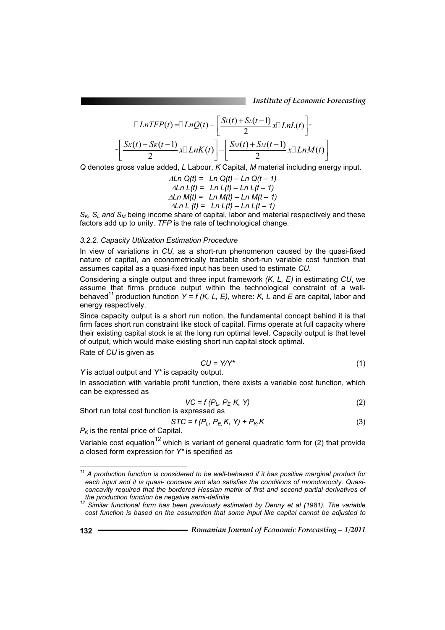*Institute of Economic Forecasting*

$$
\Box LnTFP(t) = \Box LnQ(t) - \left[\frac{S_L(t) + S_L(t-1)}{2} x \Box LnL(t)\right] - \left[\frac{S_K(t) + S_K(t-1)}{2} x \Box LnK(t)\right] - \left[\frac{S_M(t) + S_M(t-1)}{2} x \Box LnM(t)\right]
$$

*Q* denotes gross value added, *L* Labour, *K* Capital, *M* material including energy input.

$$
\Delta \text{Ln } Q(t) = \text{Ln } Q(t) - \text{Ln } Q(t - 1)
$$
\n
$$
\Delta \text{Ln } L(t) = \text{Ln } L(t) - \text{Ln } L(t - 1)
$$
\n
$$
\Delta \text{Ln } M(t) = \text{Ln } M(t) - \text{Ln } M(t - 1)
$$
\n
$$
\Delta \text{Ln } L(t) = \text{Ln } L(t) - \text{Ln } L(t - 1)
$$

 $S_K$ ,  $S_l$  and  $S_M$  being income share of capital, labor and material respectively and these factors add up to unity. *TFP* is the rate of technological change.

#### *3.2.2. Capacity Utilization Estimation Procedure*

In view of variations in *CU,* as a short-run phenomenon caused by the quasi-fixed nature of capital, an econometrically tractable short-run variable cost function that assumes capital as a quasi-fixed input has been used to estimate *CU.*

Considering a single output and three input framework *(K, L, E)* in estimating *CU*, we assume that firms produce output within the technological constraint of a wellbehaved<sup>11</sup> production function  $Y = f(K, L, E)$ , where:  $K, L$  and  $E$  are capital, labor and energy respectively.

Since capacity output is a short run notion, the fundamental concept behind it is that firm faces short run constraint like stock of capital. Firms operate at full capacity where their existing capital stock is at the long run optimal level. Capacity output is that level of output, which would make existing short run capital stock optimal.

Rate of *CU* is given as

$$
CU = Y/Y^* \tag{1}
$$

*Y* is actual output and *Y\** is capacity output.

In association with variable profit function, there exists a variable cost function, which can be expressed as

$$
VC = f(P_L, P_{E_i}K, Y)
$$
 (2)

Short run total cost function is expressed as

$$
STC = f(P_L, P_E, K, Y) + P_K. K
$$
 (3)

 $P<sub>K</sub>$  is the rental price of Capital.

Variable cost equation<sup>12</sup> which is variant of general quadratic form for (2) that provide a closed form expression for *Y\** is specified as

 $\overline{a}$ 

*<sup>11</sup> A production function is considered to be well-behaved if it has positive marginal product for each input and it is quasi- concave and also satisfies the conditions of monotonocity. Quasiconcavity required that the bordered Hessian matrix of first and second partial derivatives of the production function be negative semi-definite. 12 Similar functional form has been previously estimated by Denny et al (1981). The variable* 

*cost function is based on the assumption that some input like capital cannot be adjusted to*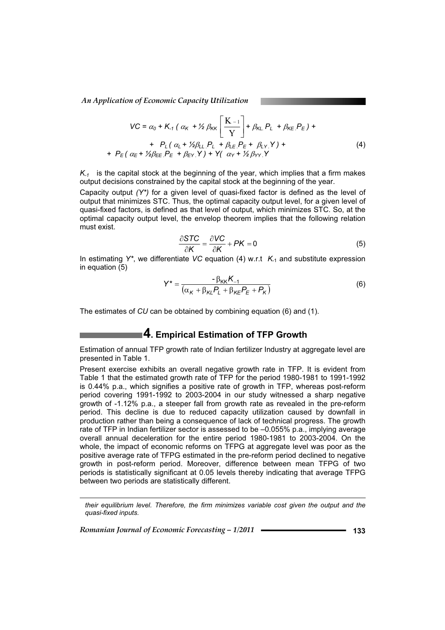*An Application of Economic Capacity Utilization* 

$$
VC = \alpha_0 + K_1 (\alpha_K + \frac{1}{2} \beta_{KK} \left[ \frac{K_{-1}}{Y} \right] + \beta_{KL} P_L + \beta_{KE} P_E) +
$$
  
+  $P_L (\alpha_L + \frac{1}{2} \beta_{LL} P_L + \beta_{LE} P_E + \beta_{LY} Y) +$   
+  $P_E (\alpha_E + \frac{1}{2} \beta_{EE} P_E + \beta_{EV} Y) + Y (\alpha_Y + \frac{1}{2} \beta_{YY} Y)$  (4)

*K-1* is the capital stock at the beginning of the year, which implies that a firm makes output decisions constrained by the capital stock at the beginning of the year.

Capacity output *(Y\*)* for a given level of quasi-fixed factor is defined as the level of output that minimizes STC. Thus, the optimal capacity output level, for a given level of quasi-fixed factors, is defined as that level of output, which minimizes STC. So, at the optimal capacity output level, the envelop theorem implies that the following relation must exist.

$$
\frac{\partial STC}{\partial K} = \frac{\partial VC}{\partial K} + PK = 0
$$
 (5)

In estimating *Y\**, we differentiate *VC* equation (4) w.r.t *K*-1 and substitute expression in equation (5)

$$
Y^* = \frac{-\beta_{KK}K_{-1}}{(\alpha_K + \beta_{KL}P_L + \beta_{KE}P_E + P_K)}
$$
(6)

The estimates of *CU* can be obtained by combining equation (6) and (1).

# **4. Empirical Estimation of TFP Growth**

Estimation of annual TFP growth rate of Indian fertilizer Industry at aggregate level are presented in Table 1.

Present exercise exhibits an overall negative growth rate in TFP. It is evident from Table 1 that the estimated growth rate of TFP for the period 1980-1981 to 1991-1992 is 0.44% p.a., which signifies a positive rate of growth in TFP, whereas post-reform period covering 1991-1992 to 2003-2004 in our study witnessed a sharp negative growth of -1.12% p.a., a steeper fall from growth rate as revealed in the pre-reform period. This decline is due to reduced capacity utilization caused by downfall in production rather than being a consequence of lack of technical progress. The growth rate of TFP in Indian fertilizer sector is assessed to be –0.055% p.a., implying average overall annual deceleration for the entire period 1980-1981 to 2003-2004. On the whole, the impact of economic reforms on TFPG at aggregate level was poor as the positive average rate of TFPG estimated in the pre-reform period declined to negative growth in post-reform period. Moreover, difference between mean TFPG of two periods is statistically significant at 0.05 levels thereby indicating that average TFPG between two periods are statistically different.

*their equilibrium level. Therefore, the firm minimizes variable cost given the output and the quasi-fixed inputs.* 

*Romanian Journal of Economic Forecasting – 1/2011* **<sup>133</sup>**

 $\overline{a}$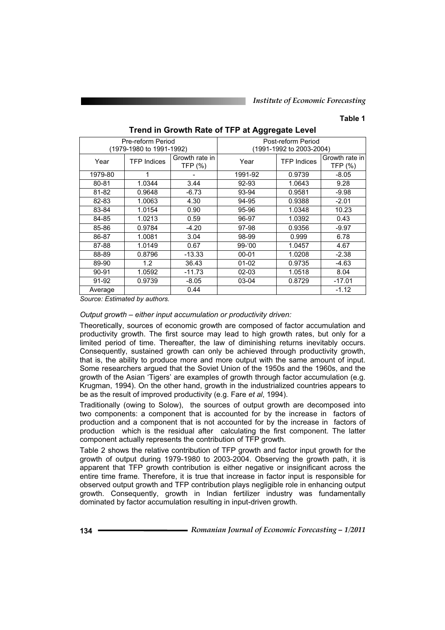*Institute of Economic Forecasting*

### **Table 1**

|         | Pre-reform Period<br>(1979-1980 to 1991-1992) |                           | Post-reform Period<br>(1991-1992 to 2003-2004) |                    |                           |  |
|---------|-----------------------------------------------|---------------------------|------------------------------------------------|--------------------|---------------------------|--|
| Year    | <b>TFP Indices</b>                            | Growth rate in<br>TFP (%) | Year                                           | <b>TFP Indices</b> | Growth rate in<br>TFP (%) |  |
| 1979-80 |                                               |                           | 1991-92                                        | 0.9739             | $-8.05$                   |  |
| 80-81   | 1.0344                                        | 3.44                      | 92-93                                          | 1.0643             | 9.28                      |  |
| 81-82   | 0.9648                                        | $-6.73$                   | 93-94                                          | 0.9581             | $-9.98$                   |  |
| 82-83   | 1.0063                                        | 4.30                      | 94-95                                          | 0.9388             | $-2.01$                   |  |
| 83-84   | 1.0154                                        | 0.90                      | 95-96                                          | 1.0348             | 10.23                     |  |
| 84-85   | 1.0213                                        | 0.59                      | 96-97                                          | 1.0392             | 0.43                      |  |
| 85-86   | 0.9784                                        | -4.20                     | 97-98                                          | 0.9356             | $-9.97$                   |  |
| 86-87   | 1.0081                                        | 3.04                      | 98-99                                          | 0.999              | 6.78                      |  |
| 87-88   | 1.0149                                        | 0.67                      | $99-00$                                        | 1.0457             | 4.67                      |  |
| 88-89   | 0.8796                                        | $-13.33$                  | $00 - 01$                                      | 1.0208             | $-2.38$                   |  |
| 89-90   | 1.2                                           | 36.43                     | $01 - 02$                                      | 0.9735             | $-4.63$                   |  |
| 90-91   | 1.0592                                        | $-11.73$                  | 02-03                                          | 1.0518             | 8.04                      |  |
| 91-92   | 0.9739                                        | $-8.05$                   | 03-04                                          | 0.8729             | $-17.01$                  |  |
| Average |                                               | 0.44                      |                                                |                    | $-1.12$                   |  |

#### **Trend in Growth Rate of TFP at Aggregate Level**

*Source: Estimated by authors.* 

#### *Output growth – either input accumulation or productivity driven:*

Theoretically, sources of economic growth are composed of factor accumulation and productivity growth. The first source may lead to high growth rates, but only for a limited period of time. Thereafter, the law of diminishing returns inevitably occurs. Consequently, sustained growth can only be achieved through productivity growth, that is, the ability to produce more and more output with the same amount of input. Some researchers argued that the Soviet Union of the 1950s and the 1960s, and the growth of the Asian 'Tigers' are examples of growth through factor accumulation (e.g. Krugman, 1994). On the other hand, growth in the industrialized countries appears to be as the result of improved productivity (e.g. Fare *et al*, 1994).

Traditionally (owing to Solow), the sources of output growth are decomposed into two components: a component that is accounted for by the increase in factors of production and a component that is not accounted for by the increase in factors of production which is the residual after calculating the first component. The latter component actually represents the contribution of TFP growth.

Table 2 shows the relative contribution of TFP growth and factor input growth for the growth of output during 1979-1980 to 2003-2004. Observing the growth path, it is apparent that TFP growth contribution is either negative or insignificant across the entire time frame. Therefore, it is true that increase in factor input is responsible for observed output growth and TFP contribution plays negligible role in enhancing output growth. Consequently, growth in Indian fertilizer industry was fundamentally dominated by factor accumulation resulting in input-driven growth.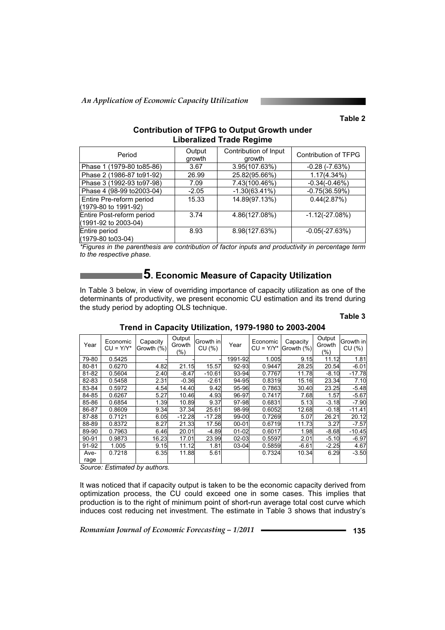## **Table 2**

# **Contribution of TFPG to Output Growth under Liberalized Trade Regime**

| Period                                            | Output<br>growth | Contribution of Input<br>growth | <b>Contribution of TFPG</b> |  |
|---------------------------------------------------|------------------|---------------------------------|-----------------------------|--|
| Phase 1 (1979-80 to 85-86)                        | 3.67             | 3.95(107.63%)                   | $-0.28$ $(-7.63%)$          |  |
| Phase 2 (1986-87 to 91-92)                        | 26.99            | 25.82(95.66%)                   | 1.17(4.34%)                 |  |
| Phase 3 (1992-93 to 97-98)                        | 7.09             | 7.43(100.46%)                   | $-0.34(-0.46%)$             |  |
| Phase 4 (98-99 to 2003-04)                        | $-2.05$          | $-1.30(63.41%)$                 | $-0.75(36.59%)$             |  |
| Entire Pre-reform period<br>(1979-80 to 1991-92)  | 15.33            | 14.89(97.13%)                   | 0.44(2.87%)                 |  |
| Entire Post-reform period<br>(1991-92 to 2003-04) | 3.74             | 4.86(127.08%)                   | $-1.12(-27.08%)$            |  |
| Entire period<br>(1979-80 to03-04)                | 8.93             | 8.98(127.63%)                   | $-0.05(-27.63%)$            |  |

*\*Figures in the parenthesis are contribution of factor inputs and productivity in percentage term to the respective phase.* 

# **5. Economic Measure of Capacity Utilization**

In Table 3 below, in view of overriding importance of capacity utilization as one of the determinants of productivity, we present economic CU estimation and its trend during the study period by adopting OLS technique.

### **Table 3**

| Year  | Economic<br>$CU = Y/Y^*$ | Capacity<br>Growth (%) | Output<br>Growth<br>$(\%)$ | Growth in<br>CU(%) | Year      | Economic<br>$CU = Y/Y^*$ | Capacity<br>Growth (%) | Output<br>Growth<br>(%) | Growth in<br>CU (%) |
|-------|--------------------------|------------------------|----------------------------|--------------------|-----------|--------------------------|------------------------|-------------------------|---------------------|
| 79-80 | 0.5425                   |                        |                            |                    | 1991-92   | 1.005                    | 9.15                   | 11.12                   | 1.81                |
| 80-81 | 0.6270                   | 4.82                   | 21.15                      | 15.57              | 92-93     | 0.9447                   | 28.25                  | 20.54                   | $-6.01$             |
| 81-82 | 0.5604                   | 2.40                   | $-8.47$                    | $-10.61$           | 93-94     | 0.7767                   | 11.78                  | $-8.10$                 | $-17.78$            |
| 82-83 | 0.5458                   | 2.31                   | $-0.36$                    | $-2.61$            | 94-95     | 0.8319                   | 15.16                  | 23.34                   | 7.10                |
| 83-84 | 0.5972                   | 4.54                   | 14.40                      | 9.42               | 95-96     | 0.7863                   | 30.40                  | 23.25                   | $-5.48$             |
| 84-85 | 0.6267                   | 5.27                   | 10.46                      | 4.93               | 96-97     | 0.7417                   | 7.68                   | 1.57                    | $-5.67$             |
| 85-86 | 0.6854                   | 1.39                   | 10.89                      | 9.37               | 97-98     | 0.6831                   | 5.13                   | $-3.18$                 | $-7.90$             |
| 86-87 | 0.8609                   | 9.34                   | 37.34                      | 25.61              | 98-99     | 0.6052                   | 12.68                  | $-0.18$                 | $-11.41$            |
| 87-88 | 0.7121                   | 6.05                   | $-12.28$                   | $-17.28$           | 99-00     | 0.7269                   | 5.07                   | 26.21                   | 20.12               |
| 88-89 | 0.8372                   | 8.27                   | 21.33                      | 17.56              | $00 - 01$ | 0.6719                   | 11.73                  | 3.27                    | $-7.57$             |
| 89-90 | 0.7963                   | 6.46                   | 20.01                      | $-4.89$            | $01 - 02$ | 0.6017                   | 1.98                   | $-8.68$                 | $-10.45$            |
| 90-91 | 0.9873                   | 16.23                  | 17.01                      | 23.99              | $02 - 03$ | 0.5597                   | 2.01                   | $-5.10$                 | $-6.97$             |
| 91-92 | 1.005                    | 9.15                   | 11.12                      | 1.81               | $03 - 04$ | 0.5859                   | $-6.61$                | $-2.25$                 | 4.67                |
| Ave-  | 0.7218                   | 6.35                   | 11.88                      | 5.61               |           | 0.7324                   | 10.34                  | 6.29                    | $-3.50$             |
| rage  |                          |                        |                            |                    |           |                          |                        |                         |                     |

**Trend in Capacity Utilization, 1979-1980 to 2003-2004** 

*Source: Estimated by authors.* 

It was noticed that if capacity output is taken to be the economic capacity derived from optimization process, the CU could exceed one in some cases. This implies that production is to the right of minimum point of short-run average total cost curve which induces cost reducing net investment. The estimate in Table 3 shows that industry's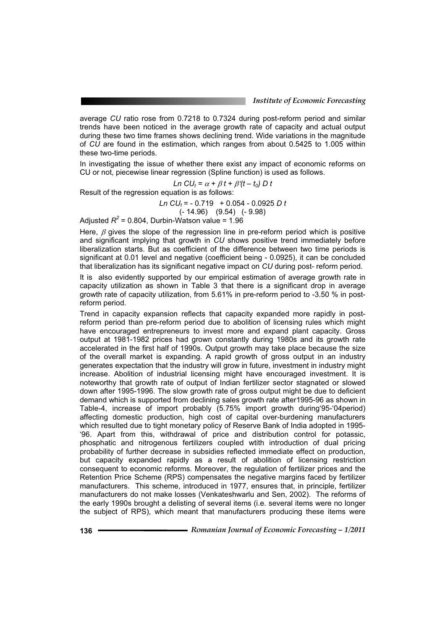average *CU* ratio rose from 0.7218 to 0.7324 during post-reform period and similar trends have been noticed in the average growth rate of capacity and actual output during these two time frames shows declining trend. Wide variations in the magnitude of *CU* are found in the estimation, which ranges from about 0.5425 to 1.005 within these two-time periods.

In investigating the issue of whether there exist any impact of economic reforms on CU or not, piecewise linear regression (Spline function) is used as follows.

*Ln CU<sub>t</sub>* =  $\alpha + \beta t + \beta'(t - t_0) D t$ Result of the regression equation is as follows: *Ln CUt* = - 0.719 + 0.054 - 0.0925 *D t*   $(-14.96)$   $(9.54)$   $(-9.98)$ 

Adjusted  $R^2$  = 0.804, Durbin-Watson value = 1.96

Here,  $\beta$  gives the slope of the regression line in pre-reform period which is positive and significant implying that growth in *CU* shows positive trend immediately before liberalization starts. But as coefficient of the difference between two time periods is significant at 0.01 level and negative (coefficient being - 0.0925), it can be concluded that liberalization has its significant negative impact on *CU* during post- reform period.

It is also evidently supported by our empirical estimation of average growth rate in capacity utilization as shown in Table 3 that there is a significant drop in average growth rate of capacity utilization, from 5.61% in pre-reform period to -3.50 % in postreform period.

Trend in capacity expansion reflects that capacity expanded more rapidly in postreform period than pre-reform period due to abolition of licensing rules which might have encouraged entrepreneurs to invest more and expand plant capacity. Gross output at 1981-1982 prices had grown constantly during 1980s and its growth rate accelerated in the first half of 1990s. Output growth may take place because the size of the overall market is expanding. A rapid growth of gross output in an industry generates expectation that the industry will grow in future, investment in industry might increase. Abolition of industrial licensing might have encouraged investment. It is noteworthy that growth rate of output of Indian fertilizer sector stagnated or slowed down after 1995-1996. The slow growth rate of gross output might be due to deficient demand which is supported from declining sales growth rate after1995-96 as shown in Table-4, increase of import probably (5.75% import growth during'95-'04period) affecting domestic production, high cost of capital over-burdening manufacturers which resulted due to tight monetary policy of Reserve Bank of India adopted in 1995- '96. Apart from this, withdrawal of price and distribution control for potassic, phosphatic and nitrogenous fertilizers coupled wtith introduction of dual pricing probability of further decrease in subsidies reflected immediate effect on production, but capacity expanded rapidly as a result of abolition of licensing restriction consequent to economic reforms. Moreover, the regulation of fertilizer prices and the Retention Price Scheme (RPS) compensates the negative margins faced by fertilizer manufacturers. This scheme, introduced in 1977, ensures that, in principle, fertilizer manufacturers do not make losses (Venkateshwarlu and Sen, 2002). The reforms of the early 1990s brought a delisting of several items (i.e. several items were no longer the subject of RPS), which meant that manufacturers producing these items were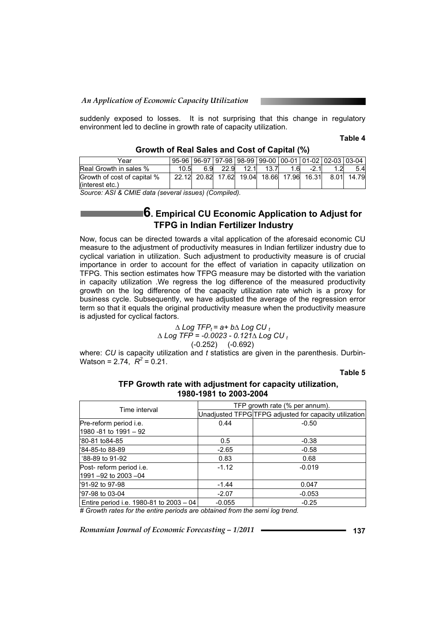#### *An Application of Economic Capacity Utilization*

suddenly exposed to losses. It is not surprising that this change in regulatory environment led to decline in growth rate of capacity utilization.

 **Table 4** 

| Year                        |      |     |      |      | 95-96 96-97 97-98 98-99 99-00 00-01 01-02 02-03 03-04 |     |        |      |       |
|-----------------------------|------|-----|------|------|-------------------------------------------------------|-----|--------|------|-------|
| Real Growth in sales %      | 10.5 | 6.9 | 22.9 | 12.1 | 13.7                                                  | 1.6 | $-2.1$ |      | 5.4   |
| Growth of cost of capital % |      |     |      |      | 22.12 20.82 17.62 19.04 18.66 17.96                   |     | 16.31  | 8.01 | 14.79 |
| (interest etc.)             |      |     |      |      |                                                       |     |        |      |       |

### **Growth of Real Sales and Cost of Capital (%)**

*Source: ASI & CMIE data (several issues) (Compiled).* 

# **6. Empirical CU Economic Application to Adjust for TFPG in Indian Fertilizer Industry**

Now, focus can be directed towards a vital application of the aforesaid economic CU measure to the adjustment of productivity measures in Indian fertilizer industry due to cyclical variation in utilization. Such adjustment to productivity measure is of crucial importance in order to account for the effect of variation in capacity utilization on TFPG. This section estimates how TFPG measure may be distorted with the variation in capacity utilization .We regress the log difference of the measured productivity growth on the log difference of the capacity utilization rate which is a proxy for business cycle. Subsequently, we have adjusted the average of the regression error term so that it equals the original productivity measure when the productivity measure is adjusted for cyclical factors.

$$
\Delta Log TFP_t = a + b\Delta Log CU_t
$$
  
 
$$
\Delta Log TFP = -0.0023 - 0.121\Delta Log CU_t
$$
  
(-0.252) (-0.692)

where: *CU* is capacity utilization and *t* statistics are given in the parenthesis. Durbin-Watson = 2.74,  $R^2 = 0.21$ .

**Table 5** 

#### **TFP Growth rate with adjustment for capacity utilization, 1980-1981 to 2003-2004**

|                                         | TFP growth rate (% per annum). |                                                        |  |  |  |
|-----------------------------------------|--------------------------------|--------------------------------------------------------|--|--|--|
| Time interval                           |                                | Unadjusted TFPG TFPG adjusted for capacity utilization |  |  |  |
| Pre-reform period i.e.                  | 0.44                           | $-0.50$                                                |  |  |  |
| $ 1980 - 81$ to $1991 - 92$             |                                |                                                        |  |  |  |
| l'80-81 to84-85                         | 0.5                            | $-0.38$                                                |  |  |  |
| l'84-85-to 88-89                        | $-2.65$                        | $-0.58$                                                |  |  |  |
| '88-89 to 91-92                         | 0.83                           | 0.68                                                   |  |  |  |
| Post-reform period i.e.                 | $-1.12$                        | $-0.019$                                               |  |  |  |
| 1991 - 92 to 2003 - 04                  |                                |                                                        |  |  |  |
| "91-92 to 97-98                         | $-1.44$                        | 0.047                                                  |  |  |  |
| "97-98 to 03-04                         | $-2.07$                        | $-0.053$                                               |  |  |  |
| Entire period i.e. 1980-81 to 2003 - 04 | $-0.055$                       | $-0.25$                                                |  |  |  |

*# Growth rates for the entire periods are obtained from the semi log trend.*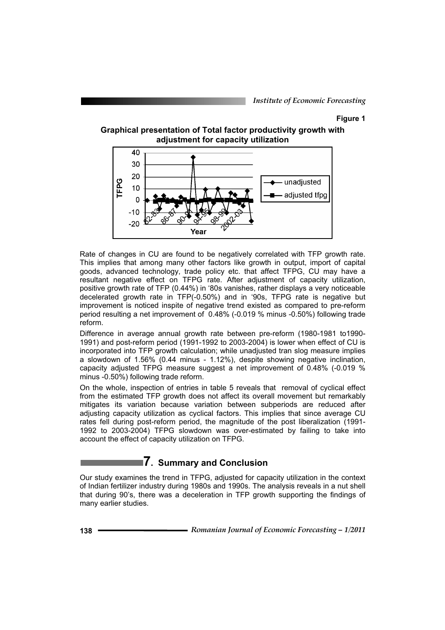## **Figure 1**

**Graphical presentation of Total factor productivity growth with adjustment for capacity utilization** 



Rate of changes in CU are found to be negatively correlated with TFP growth rate. This implies that among many other factors like growth in output, import of capital goods, advanced technology, trade policy etc. that affect TFPG, CU may have a resultant negative effect on TFPG rate. After adjustment of capacity utilization, positive growth rate of TFP (0.44%) in '80s vanishes, rather displays a very noticeable decelerated growth rate in TFP(-0.50%) and in '90s, TFPG rate is negative but improvement is noticed inspite of negative trend existed as compared to pre-reform period resulting a net improvement of 0.48% (-0.019 % minus -0.50%) following trade reform.

Difference in average annual growth rate between pre-reform (1980-1981 to1990- 1991) and post-reform period (1991-1992 to 2003-2004) is lower when effect of CU is incorporated into TFP growth calculation; while unadjusted tran slog measure implies a slowdown of 1.56% (0.44 minus - 1.12%), despite showing negative inclination, capacity adjusted TFPG measure suggest a net improvement of 0.48% (-0.019 % minus -0.50%) following trade reform.

On the whole, inspection of entries in table 5 reveals that removal of cyclical effect from the estimated TFP growth does not affect its overall movement but remarkably mitigates its variation because variation between subperiods are reduced after adjusting capacity utilization as cyclical factors. This implies that since average CU rates fell during post-reform period, the magnitude of the post liberalization (1991- 1992 to 2003-2004) TFPG slowdown was over-estimated by failing to take into account the effect of capacity utilization on TFPG.

# **7. Summary and Conclusion**

Our study examines the trend in TFPG, adjusted for capacity utilization in the context of Indian fertilizer industry during 1980s and 1990s. The analysis reveals in a nut shell that during 90's, there was a deceleration in TFP growth supporting the findings of many earlier studies.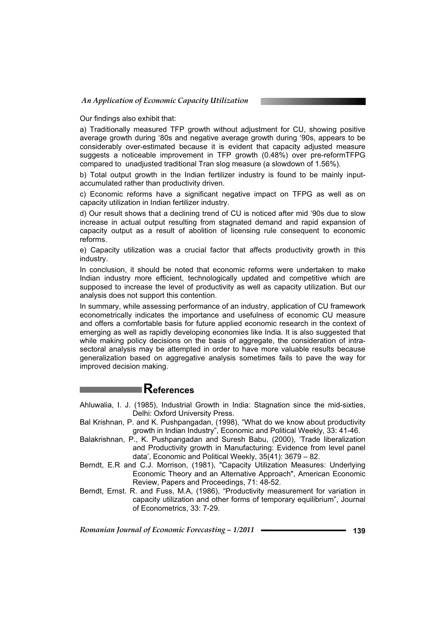Our findings also exhibit that:

a) Traditionally measured TFP growth without adjustment for CU, showing positive average growth during '80s and negative average growth during '90s, appears to be considerably over-estimated because it is evident that capacity adjusted measure suggests a noticeable improvement in TFP growth (0.48%) over pre-reformTFPG compared to unadjusted traditional Tran slog measure (a slowdown of 1.56%).

b) Total output growth in the Indian fertilizer industry is found to be mainly inputaccumulated rather than productivity driven.

c) Economic reforms have a significant negative impact on TFPG as well as on capacity utilization in Indian fertilizer industry.

d) Our result shows that a declining trend of CU is noticed after mid '90s due to slow increase in actual output resulting from stagnated demand and rapid expansion of capacity output as a result of abolition of licensing rule consequent to economic reforms.

e) Capacity utilization was a crucial factor that affects productivity growth in this industry.

In conclusion, it should be noted that economic reforms were undertaken to make Indian industry more efficient, technologically updated and competitive which are supposed to increase the level of productivity as well as capacity utilization. But our analysis does not support this contention.

In summary, while assessing performance of an industry, application of CU framework econometrically indicates the importance and usefulness of economic CU measure and offers a comfortable basis for future applied economic research in the context of emerging as well as rapidly developing economies like India. It is also suggested that while making policy decisions on the basis of aggregate, the consideration of intrasectoral analysis may be attempted in order to have more valuable results because generalization based on aggregative analysis sometimes fails to pave the way for improved decision making.

# **References**

- Ahluwalia, I. J. (1985), Industrial Growth in India: Stagnation since the mid-sixties, Delhi: Oxford University Press.
- Bal Krishnan, P. and K. Pushpangadan, (1998), "What do we know about productivity growth in Indian Industry", Economic and Political Weekly, 33: 41-46.
- Balakrishnan, P., K. Pushpangadan and Suresh Babu, (2000), 'Trade liberalization and Productivity growth in Manufacturing: Evidence from level panel data', Economic and Political Weekly, 35(41): 3679 – 82.
- Berndt, E.R and C.J. Morrison, (1981), "Capacity Utilization Measures: Underlying Economic Theory and an Alternative Approach", American Economic Review, Papers and Proceedings, 71: 48-52.
- Berndt, Ernst. R. and Fuss, M.A, (1986), "Productivity measurement for variation in capacity utilization and other forms of temporary equilibrium", Journal of Econometrics, 33: 7-29.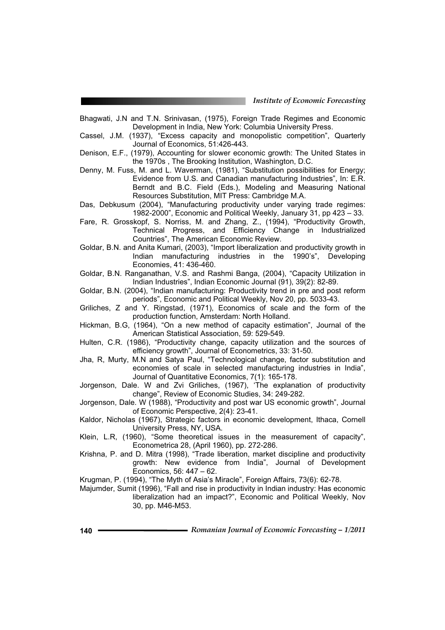- Bhagwati, J.N and T.N. Srinivasan, (1975), Foreign Trade Regimes and Economic Development in India, New York: Columbia University Press.
- Cassel, J.M. (1937), "Excess capacity and monopolistic competition", Quarterly Journal of Economics, 51:426-443.
- Denison, E.F., (1979), Accounting for slower economic growth: The United States in the 1970s , The Brooking Institution, Washington, D.C.
- Denny, M. Fuss, M. and L. Waverman, (1981), "Substitution possibilities for Energy; Evidence from U.S. and Canadian manufacturing Industries", In: E.R. Berndt and B.C. Field (Eds.), Modeling and Measuring National Resources Substitution, MIT Press: Cambridge M.A.
- Das, Debkusum (2004), "Manufacturing productivity under varying trade regimes: 1982-2000", Economic and Political Weekly, January 31, pp 423 – 33.
- Fare, R. Grosskopf, S. Norriss, M. and Zhang, Z., (1994), "Productivity Growth, Technical Progress, and Efficiency Change in Industrialized Countries", The American Economic Review.
- Goldar, B.N. and Anita Kumari, (2003), "Import liberalization and productivity growth in Indian manufacturing industries in the 1990's", Developing Economies, 41: 436-460.
- Goldar, B.N. Ranganathan, V.S. and Rashmi Banga, (2004), "Capacity Utilization in Indian Industries", Indian Economic Journal (91), 39(2): 82-89.
- Goldar, B.N. (2004), "Indian manufacturing: Productivity trend in pre and post reform periods", Economic and Political Weekly, Nov 20, pp. 5033-43.
- Griliches, Z and Y. Ringstad, (1971), Economics of scale and the form of the production function, Amsterdam: North Holland.
- Hickman, B.G, (1964), "On a new method of capacity estimation", Journal of the American Statistical Association, 59: 529-549.
- Hulten, C.R. (1986), "Productivity change, capacity utilization and the sources of efficiency growth", Journal of Econometrics, 33: 31-50.
- Jha, R, Murty, M.N and Satya Paul, "Technological change, factor substitution and economies of scale in selected manufacturing industries in India", Journal of Quantitative Economics, 7(1): 165-178.
- Jorgenson, Dale. W and Zvi Griliches, (1967), 'The explanation of productivity change", Review of Economic Studies, 34: 249-282.
- Jorgenson, Dale. W (1988), "Productivity and post war US economic growth", Journal of Economic Perspective, 2(4): 23-41.
- Kaldor, Nicholas (1967), Strategic factors in economic development, Ithaca, Cornell University Press, NY, USA.
- Klein, L.R, (1960), "Some theoretical issues in the measurement of capacity", Econometrica 28, (April 1960), pp. 272-286.
- Krishna, P. and D. Mitra (1998), "Trade liberation, market discipline and productivity growth: New evidence from India", Journal of Development Economics, 56: 447 – 62.
- Krugman, P. (1994), "The Myth of Asia's Miracle", Foreign Affairs, 73(6): 62-78.
- Majumder, Sumit (1996), "Fall and rise in productivity in Indian industry: Has economic liberalization had an impact?", Economic and Political Weekly, Nov 30, pp. M46-M53.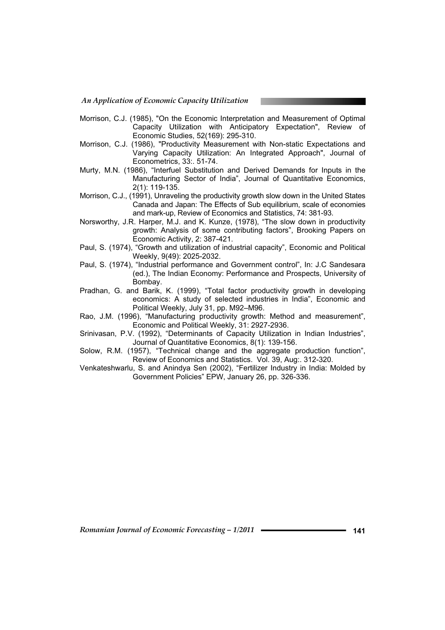- Morrison, C.J. (1985), "On the Economic Interpretation and Measurement of Optimal Capacity Utilization with Anticipatory Expectation", Review of Economic Studies, 52(169): 295-310.
- Morrison, C.J. (1986), "Productivity Measurement with Non-static Expectations and Varying Capacity Utilization: An Integrated Approach", Journal of Econometrics, 33:. 51-74.
- Murty, M.N. (1986), "Interfuel Substitution and Derived Demands for Inputs in the Manufacturing Sector of India", Journal of Quantitative Economics, 2(1): 119-135.
- Morrison, C.J., (1991), Unraveling the productivity growth slow down in the United States Canada and Japan: The Effects of Sub equilibrium, scale of economies and mark-up, Review of Economics and Statistics, 74: 381-93.
- Norsworthy, J.R. Harper, M.J. and K. Kunze, (1978), "The slow down in productivity growth: Analysis of some contributing factors", Brooking Papers on Economic Activity, 2: 387-421.
- Paul, S. (1974), "Growth and utilization of industrial capacity", Economic and Political Weekly, 9(49): 2025-2032.
- Paul, S. (1974), "Industrial performance and Government control", In: J.C Sandesara (ed.), The Indian Economy: Performance and Prospects, University of Bombay.
- Pradhan, G. and Barik, K. (1999), "Total factor productivity growth in developing economics: A study of selected industries in India", Economic and Political Weekly, July 31, pp. M92–M96.
- Rao, J.M. (1996), "Manufacturing productivity growth: Method and measurement", Economic and Political Weekly, 31: 2927-2936.
- Srinivasan, P.V. (1992), "Determinants of Capacity Utilization in Indian Industries", Journal of Quantitative Economics, 8(1): 139-156.
- Solow, R.M. (1957), "Technical change and the aggregate production function", Review of Economics and Statistics. Vol. 39, Aug:. 312-320.
- Venkateshwarlu, S. and Anindya Sen (2002), "Fertilizer Industry in India: Molded by Government Policies" EPW, January 26, pp. 326-336.